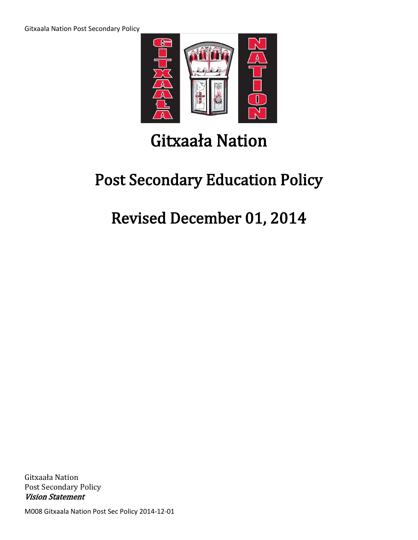

# Gitxaała Nation

## Post Secondary Education Policy

## Revised December 01, 2014

Gitxaała Nation Post Secondary Policy Vision Statement

M008 Gitxaala Nation Post Sec Policy 2014-12-01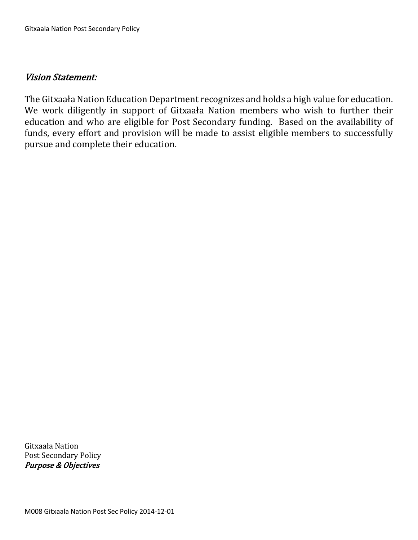### Vision Statement:

The Gitxaała Nation Education Department recognizes and holds a high value for education. We work diligently in support of Gitxaała Nation members who wish to further their education and who are eligible for Post Secondary funding. Based on the availability of funds, every effort and provision will be made to assist eligible members to successfully pursue and complete their education.

Gitxaała Nation Post Secondary Policy Purpose & Objectives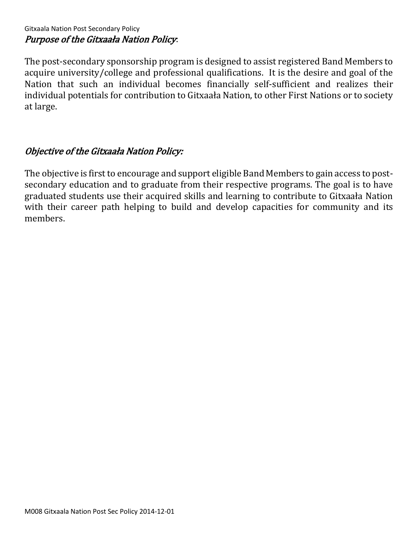## Gitxaala Nation Post Secondary Policy Purpose of the Gitxaała Nation Policy:

The post-secondary sponsorship program is designed to assist registered Band Members to acquire university/college and professional qualifications. It is the desire and goal of the Nation that such an individual becomes financially self-sufficient and realizes their individual potentials for contribution to Gitxaała Nation, to other First Nations or to society at large.

## Objective of the Gitxaała Nation Policy:

The objective is first to encourage and support eligible Band Members to gain access to postsecondary education and to graduate from their respective programs. The goal is to have graduated students use their acquired skills and learning to contribute to Gitxaała Nation with their career path helping to build and develop capacities for community and its members.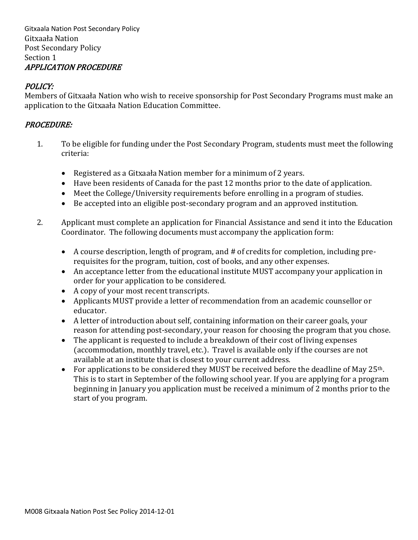Gitxaala Nation Post Secondary Policy Gitxaała Nation Post Secondary Policy Section 1 APPLICATION PROCEDURE

## POLICY:

Members of Gitxaała Nation who wish to receive sponsorship for Post Secondary Programs must make an application to the Gitxaała Nation Education Committee.

#### PROCEDURE:

- 1. To be eligible for funding under the Post Secondary Program, students must meet the following criteria:
	- Registered as a Gitxaała Nation member for a minimum of 2 years.
	- Have been residents of Canada for the past 12 months prior to the date of application.
	- Meet the College/University requirements before enrolling in a program of studies.
	- Be accepted into an eligible post-secondary program and an approved institution.
- 2. Applicant must complete an application for Financial Assistance and send it into the Education Coordinator. The following documents must accompany the application form:
	- A course description, length of program, and # of credits for completion, including prerequisites for the program, tuition, cost of books, and any other expenses.
	- An acceptance letter from the educational institute MUST accompany your application in order for your application to be considered.
	- A copy of your most recent transcripts.
	- Applicants MUST provide a letter of recommendation from an academic counsellor or educator.
	- A letter of introduction about self, containing information on their career goals, your reason for attending post-secondary, your reason for choosing the program that you chose.
	- The applicant is requested to include a breakdown of their cost of living expenses (accommodation, monthly travel, etc.). Travel is available only if the courses are not available at an institute that is closest to your current address.
	- For applications to be considered they MUST be received before the deadline of May 25<sup>th</sup>. This is to start in September of the following school year. If you are applying for a program beginning in January you application must be received a minimum of 2 months prior to the start of you program.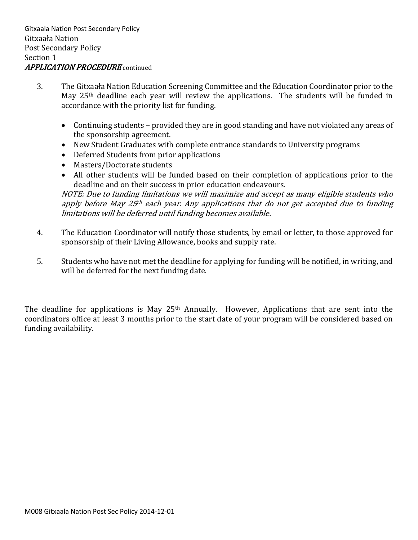- 3. The Gitxaała Nation Education Screening Committee and the Education Coordinator prior to the May 25th deadline each year will review the applications. The students will be funded in accordance with the priority list for funding.
	- Continuing students provided they are in good standing and have not violated any areas of the sponsorship agreement.
	- New Student Graduates with complete entrance standards to University programs
	- Deferred Students from prior applications
	- Masters/Doctorate students
	- All other students will be funded based on their completion of applications prior to the deadline and on their success in prior education endeavours.

NOTE: Due to funding limitations we will maximize and accept as many eligible students who apply before May 25<sup>th</sup> each year. Any applications that do not get accepted due to funding limitations will be deferred until funding becomes available.

- 4. The Education Coordinator will notify those students, by email or letter, to those approved for sponsorship of their Living Allowance, books and supply rate.
- 5. Students who have not met the deadline for applying for funding will be notified, in writing, and will be deferred for the next funding date.

The deadline for applications is May 25<sup>th</sup> Annually. However, Applications that are sent into the coordinators office at least 3 months prior to the start date of your program will be considered based on funding availability.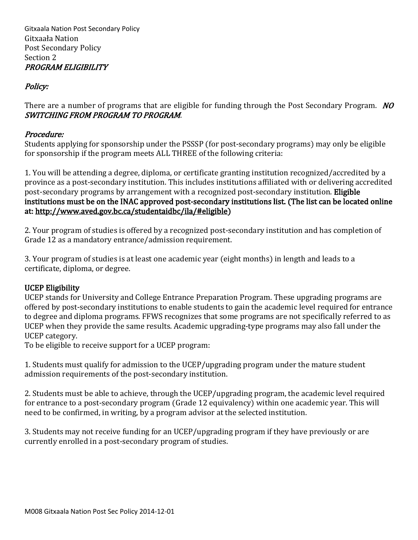Gitxaala Nation Post Secondary Policy Gitxaała Nation Post Secondary Policy Section 2 PROGRAM ELIGIBILITY

## Policy:

There are a number of programs that are eligible for funding through the Post Secondary Program. NO SWITCHING FROM PROGRAM TO PROGRAM.

#### Procedure:

Students applying for sponsorship under the PSSSP (for post-secondary programs) may only be eligible for sponsorship if the program meets ALL THREE of the following criteria:

1. You will be attending a degree, diploma, or certificate granting institution recognized/accredited by a province as a post-secondary institution. This includes institutions affiliated with or delivering accredited post-secondary programs by arrangement with a recognized post-secondary institution. Eligible institutions must be on the INAC approved post-secondary institutions list. (The list can be located online at: [http://www.aved.gov.bc.ca/studentaidbc/ila/#eligible\)](http://www.aved.gov.bc.ca/studentaidbc/ila/%23eligible)

2. Your program of studies is offered by a recognized post-secondary institution and has completion of Grade 12 as a mandatory entrance/admission requirement.

3. Your program of studies is at least one academic year (eight months) in length and leads to a certificate, diploma, or degree.

## UCEP Eligibility

UCEP stands for University and College Entrance Preparation Program. These upgrading programs are offered by post-secondary institutions to enable students to gain the academic level required for entrance to degree and diploma programs. FFWS recognizes that some programs are not specifically referred to as UCEP when they provide the same results. Academic upgrading-type programs may also fall under the UCEP category.

To be eligible to receive support for a UCEP program:

1. Students must qualify for admission to the UCEP/upgrading program under the mature student admission requirements of the post-secondary institution.

2. Students must be able to achieve, through the UCEP/upgrading program, the academic level required for entrance to a post-secondary program (Grade 12 equivalency) within one academic year. This will need to be confirmed, in writing, by a program advisor at the selected institution.

3. Students may not receive funding for an UCEP/upgrading program if they have previously or are currently enrolled in a post-secondary program of studies.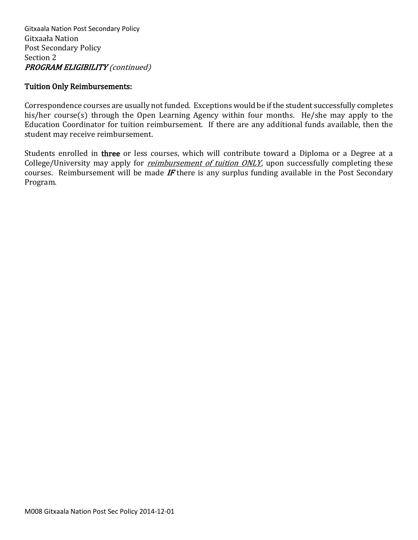#### Tuition Only Reimbursements:

Correspondence courses are usually not funded. Exceptions would be if the student successfully completes his/her course(s) through the Open Learning Agency within four months. He/she may apply to the Education Coordinator for tuition reimbursement. If there are any additional funds available, then the student may receive reimbursement.

Students enrolled in three or less courses, which will contribute toward a Diploma or a Degree at a College/University may apply for *reimbursement of tuition ONLY*, upon successfully completing these courses. Reimbursement will be made  $IF$  there is any surplus funding available in the Post Secondary Program.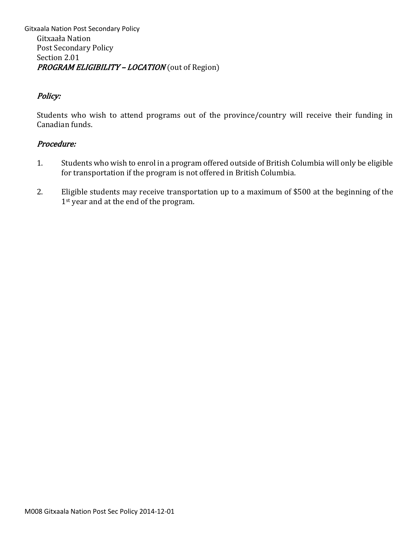Gitxaala Nation Post Secondary Policy Gitxaała Nation Post Secondary Policy Section 2.01 PROGRAM ELIGIBILITY - LOCATION (out of Region)

## Policy:

Students who wish to attend programs out of the province/country will receive their funding in Canadian funds.

- 1. Students who wish to enrol in a program offered outside of British Columbia will only be eligible for transportation if the program is not offered in British Columbia.
- 2. Eligible students may receive transportation up to a maximum of \$500 at the beginning of the 1<sup>st</sup> year and at the end of the program.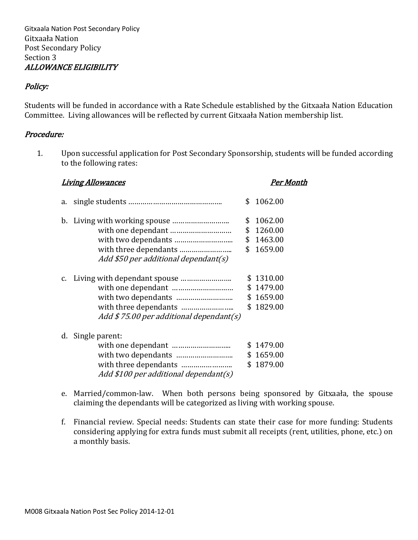Gitxaala Nation Post Secondary Policy Gitxaała Nation Post Secondary Policy Section 3 ALLOWANCE ELIGIBILITY

#### Policy:

Students will be funded in accordance with a Rate Schedule established by the Gitxaała Nation Education Committee. Living allowances will be reflected by current Gitxaała Nation membership list.

#### Procedure:

1. Upon successful application for Post Secondary Sponsorship, students will be funded according to the following rates:

| <u>Living Allowances</u> |                                                                                  |    | Per Month                                        |
|--------------------------|----------------------------------------------------------------------------------|----|--------------------------------------------------|
| a.                       |                                                                                  | \$ | 1062.00                                          |
| b.                       | Add \$50 per additional dependant(s)                                             | \$ | 1062.00<br>\$1260.00<br>\$1463.00<br>\$1659.00   |
| $C_{\bullet}$            | Add $$75.00$ per additional dependant(s)                                         |    | \$1310.00<br>\$1479.00<br>\$1659.00<br>\$1829.00 |
| d.                       | Single parent:<br>with three dependants<br>Add \$100 per additional dependant(s) |    | \$1479.00<br>\$1659.00<br>\$1879.00              |

- e. Married/common-law. When both persons being sponsored by Gitxaała, the spouse claiming the dependants will be categorized as living with working spouse.
- f. Financial review. Special needs: Students can state their case for more funding: Students considering applying for extra funds must submit all receipts (rent, utilities, phone, etc.) on a monthly basis.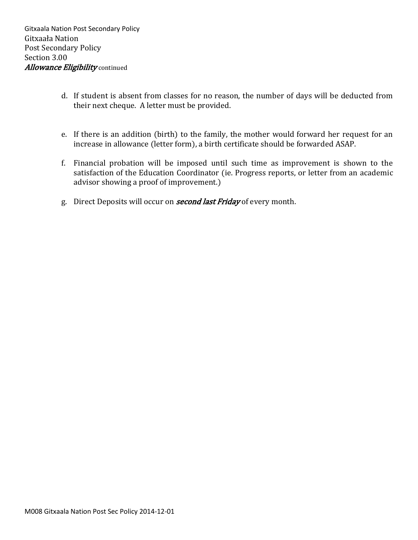- d. If student is absent from classes for no reason, the number of days will be deducted from their next cheque. A letter must be provided.
- e. If there is an addition (birth) to the family, the mother would forward her request for an increase in allowance (letter form), a birth certificate should be forwarded ASAP.
- f. Financial probation will be imposed until such time as improvement is shown to the satisfaction of the Education Coordinator (ie. Progress reports, or letter from an academic advisor showing a proof of improvement.)
- g. Direct Deposits will occur on **second last Friday** of every month.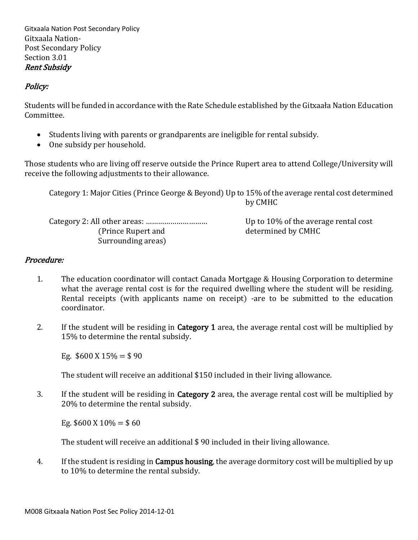Gitxaala Nation Post Secondary Policy Gitxaala Nation-Post Secondary Policy Section 3.01 Rent Subsidy

## Policy:

Students will be funded in accordance with the Rate Schedule established by the Gitxaała Nation Education Committee.

- Students living with parents or grandparents are ineligible for rental subsidy.
- One subsidy per household.

Those students who are living off reserve outside the Prince Rupert area to attend College/University will receive the following adjustments to their allowance.

Category 1: Major Cities (Prince George & Beyond) Up to 15% of the average rental cost determined by CMHC

Category 2: All other areas: ………………………… Up to 10% of the average rental cost (Prince Rupert and determined by CMHC) Surrounding areas)

## Procedure:

- 1. The education coordinator will contact Canada Mortgage & Housing Corporation to determine what the average rental cost is for the required dwelling where the student will be residing. Rental receipts (with applicants name on receipt) -are to be submitted to the education coordinator.
- 2. If the student will be residing in **Category 1** area, the average rental cost will be multiplied by 15% to determine the rental subsidy.

Eg.  $$600 \text{ X } 15\% = $90$ 

The student will receive an additional \$150 included in their living allowance.

3. If the student will be residing in Category 2 area, the average rental cost will be multiplied by 20% to determine the rental subsidy.

Eg.  $$600 \text{ X } 10\% = $60$ 

The student will receive an additional \$ 90 included in their living allowance.

4. If the student is residing in **Campus housing**, the average dormitory cost will be multiplied by up to 10% to determine the rental subsidy.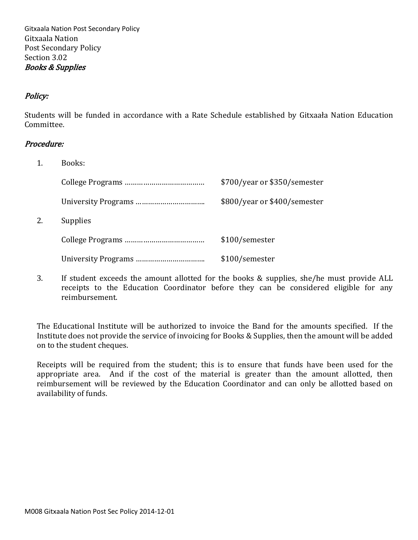Gitxaala Nation Post Secondary Policy Gitxaala Nation Post Secondary Policy Section 3.02 Books & Supplies

## Policy:

Students will be funded in accordance with a Rate Schedule established by Gitxaała Nation Education Committee.

#### Procedure:

 $2.$ 

1. Books:

|                 | \$700/year or \$350/semester |
|-----------------|------------------------------|
|                 | \$800/year or \$400/semester |
| <b>Supplies</b> |                              |
|                 | \$100/semester               |
|                 | \$100/semester               |

3. If student exceeds the amount allotted for the books & supplies, she/he must provide ALL receipts to the Education Coordinator before they can be considered eligible for any reimbursement.

The Educational Institute will be authorized to invoice the Band for the amounts specified. If the Institute does not provide the service of invoicing for Books & Supplies, then the amount will be added on to the student cheques.

Receipts will be required from the student; this is to ensure that funds have been used for the appropriate area. And if the cost of the material is greater than the amount allotted, then reimbursement will be reviewed by the Education Coordinator and can only be allotted based on availability of funds.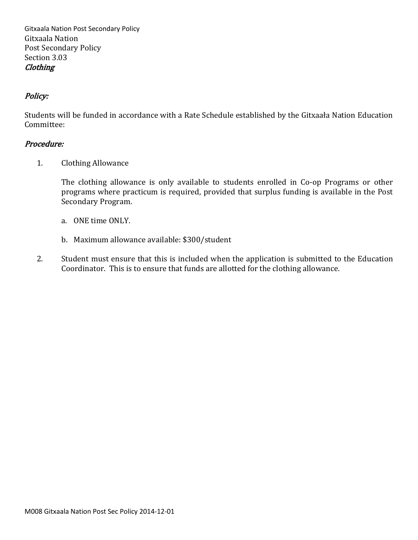Gitxaala Nation Post Secondary Policy Gitxaala Nation Post Secondary Policy Section 3.03 **Clothing** 

## Policy:

Students will be funded in accordance with a Rate Schedule established by the Gitxaała Nation Education Committee:

#### Procedure:

1. Clothing Allowance

The clothing allowance is only available to students enrolled in Co-op Programs or other programs where practicum is required, provided that surplus funding is available in the Post Secondary Program.

- a. ONE time ONLY.
- b. Maximum allowance available: \$300/student
- 2. Student must ensure that this is included when the application is submitted to the Education Coordinator. This is to ensure that funds are allotted for the clothing allowance.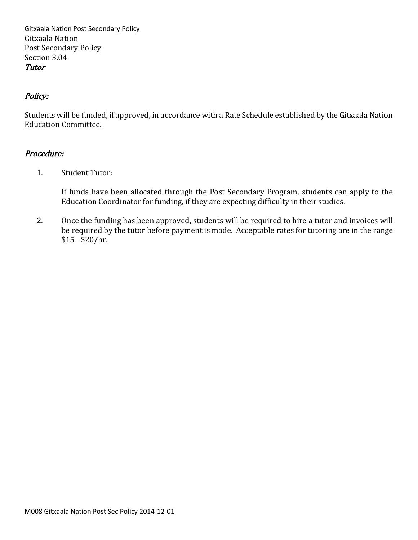Gitxaala Nation Post Secondary Policy Gitxaala Nation Post Secondary Policy Section 3.04 Tutor

## Policy:

Students will be funded, if approved, in accordance with a Rate Schedule established by the Gitxaała Nation Education Committee.

#### Procedure:

1. Student Tutor:

If funds have been allocated through the Post Secondary Program, students can apply to the Education Coordinator for funding, if they are expecting difficulty in their studies.

2. Once the funding has been approved, students will be required to hire a tutor and invoices will be required by the tutor before payment is made. Acceptable rates for tutoring are in the range \$15 - \$20/hr.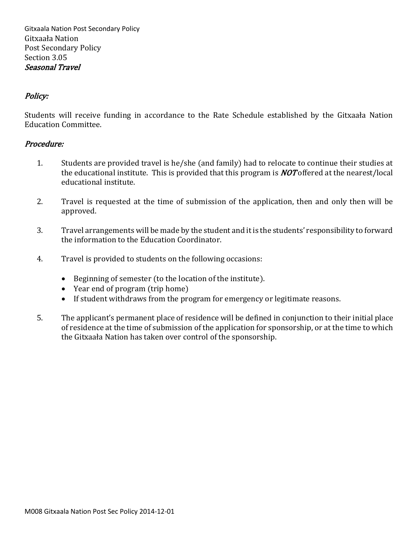Gitxaala Nation Post Secondary Policy Gitxaała Nation Post Secondary Policy Section 3.05 Seasonal Travel

## Policy:

Students will receive funding in accordance to the Rate Schedule established by the Gitxaała Nation Education Committee.

- 1. Students are provided travel is he/she (and family) had to relocate to continue their studies at the educational institute. This is provided that this program is  $NOT$  offered at the nearest/local educational institute.
- 2. Travel is requested at the time of submission of the application, then and only then will be approved.
- 3. Travel arrangements will be made by the student and it is the students' responsibility to forward the information to the Education Coordinator.
- 4. Travel is provided to students on the following occasions:
	- Beginning of semester (to the location of the institute).
	- Year end of program (trip home)
	- If student withdraws from the program for emergency or legitimate reasons.
- 5. The applicant's permanent place of residence will be defined in conjunction to their initial place of residence at the time of submission of the application for sponsorship, or at the time to which the Gitxaała Nation has taken over control of the sponsorship.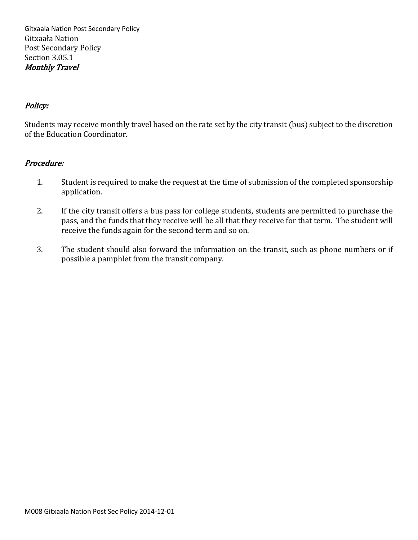Gitxaala Nation Post Secondary Policy Gitxaała Nation Post Secondary Policy Section 3.05.1 Monthly Travel

### Policy:

Students may receive monthly travel based on the rate set by the city transit (bus) subject to the discretion of the Education Coordinator.

- 1. Student is required to make the request at the time of submission of the completed sponsorship application.
- 2. If the city transit offers a bus pass for college students, students are permitted to purchase the pass, and the funds that they receive will be all that they receive for that term. The student will receive the funds again for the second term and so on.
- 3. The student should also forward the information on the transit, such as phone numbers or if possible a pamphlet from the transit company.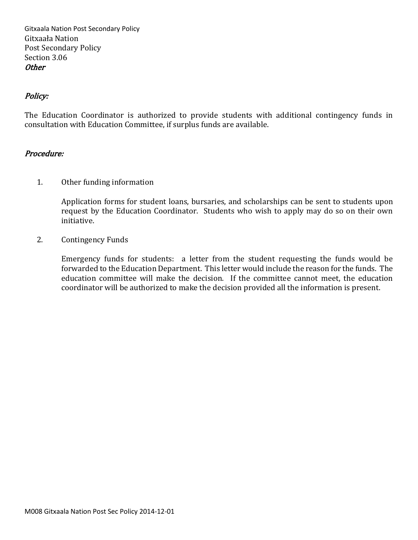Gitxaala Nation Post Secondary Policy Gitxaała Nation Post Secondary Policy Section 3.06 **Other** 

### Policy:

The Education Coordinator is authorized to provide students with additional contingency funds in consultation with Education Committee, if surplus funds are available.

#### Procedure:

1. Other funding information

Application forms for student loans, bursaries, and scholarships can be sent to students upon request by the Education Coordinator. Students who wish to apply may do so on their own initiative.

2. Contingency Funds

Emergency funds for students: a letter from the student requesting the funds would be forwarded to the Education Department. This letter would include the reason for the funds. The education committee will make the decision. If the committee cannot meet, the education coordinator will be authorized to make the decision provided all the information is present.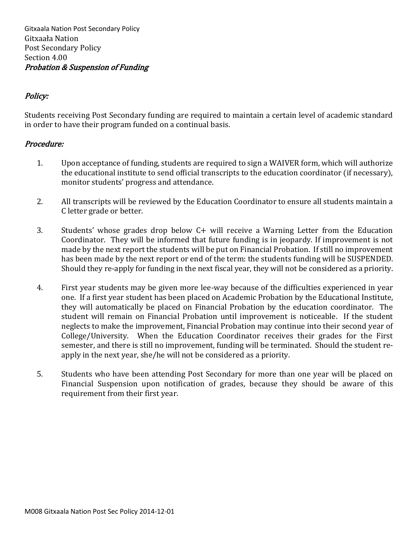Gitxaala Nation Post Secondary Policy Gitxaała Nation Post Secondary Policy Section 4.00 Probation & Suspension of Funding

## Policy:

Students receiving Post Secondary funding are required to maintain a certain level of academic standard in order to have their program funded on a continual basis.

- 1. Upon acceptance of funding, students are required to sign a WAIVER form, which will authorize the educational institute to send official transcripts to the education coordinator (if necessary), monitor students' progress and attendance.
- 2. All transcripts will be reviewed by the Education Coordinator to ensure all students maintain a C letter grade or better.
- 3. Students' whose grades drop below C+ will receive a Warning Letter from the Education Coordinator. They will be informed that future funding is in jeopardy. If improvement is not made by the next report the students will be put on Financial Probation. If still no improvement has been made by the next report or end of the term: the students funding will be SUSPENDED. Should they re-apply for funding in the next fiscal year, they will not be considered as a priority.
- 4. First year students may be given more lee-way because of the difficulties experienced in year one. If a first year student has been placed on Academic Probation by the Educational Institute, they will automatically be placed on Financial Probation by the education coordinator. The student will remain on Financial Probation until improvement is noticeable. If the student neglects to make the improvement, Financial Probation may continue into their second year of College/University. When the Education Coordinator receives their grades for the First semester, and there is still no improvement, funding will be terminated. Should the student reapply in the next year, she/he will not be considered as a priority.
- 5. Students who have been attending Post Secondary for more than one year will be placed on Financial Suspension upon notification of grades, because they should be aware of this requirement from their first year.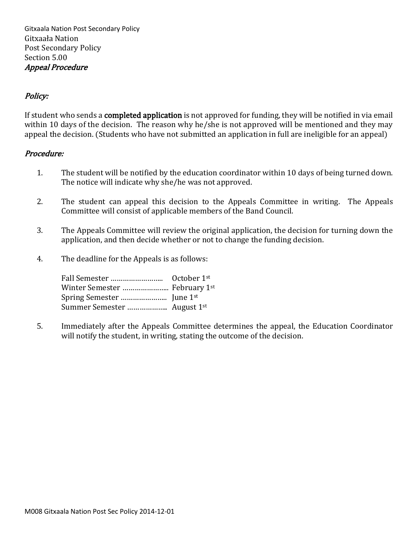## Policy:

If student who sends a completed application is not approved for funding, they will be notified in via email within 10 days of the decision. The reason why he/she is not approved will be mentioned and they may appeal the decision. (Students who have not submitted an application in full are ineligible for an appeal)

#### Procedure:

- 1. The student will be notified by the education coordinator within 10 days of being turned down. The notice will indicate why she/he was not approved.
- 2. The student can appeal this decision to the Appeals Committee in writing. The Appeals Committee will consist of applicable members of the Band Council.
- 3. The Appeals Committee will review the original application, the decision for turning down the application, and then decide whether or not to change the funding decision.
- 4. The deadline for the Appeals is as follows:

5. Immediately after the Appeals Committee determines the appeal, the Education Coordinator will notify the student, in writing, stating the outcome of the decision.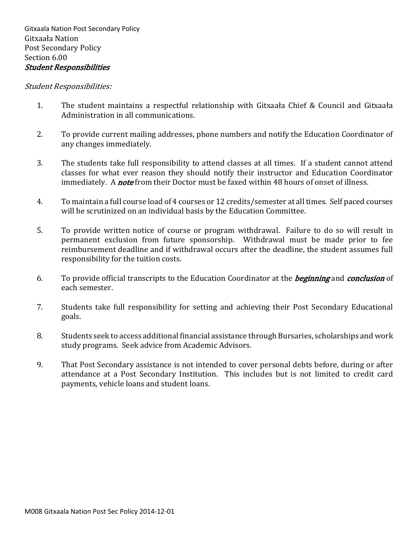#### Student Responsibilities:

- 1. The student maintains a respectful relationship with Gitxaała Chief & Council and Gitxaała Administration in all communications.
- 2. To provide current mailing addresses, phone numbers and notify the Education Coordinator of any changes immediately.
- 3. The students take full responsibility to attend classes at all times. If a student cannot attend classes for what ever reason they should notify their instructor and Education Coordinator immediately. A *note* from their Doctor must be faxed within 48 hours of onset of illness.
- 4. To maintain a full course load of 4 courses or 12 credits/semester at all times. Self paced courses will be scrutinized on an individual basis by the Education Committee.
- 5. To provide written notice of course or program withdrawal. Failure to do so will result in permanent exclusion from future sponsorship. Withdrawal must be made prior to fee reimbursement deadline and if withdrawal occurs after the deadline, the student assumes full responsibility for the tuition costs.
- 6. To provide official transcripts to the Education Coordinator at the *beginning* and *conclusion* of each semester.
- 7. Students take full responsibility for setting and achieving their Post Secondary Educational goals.
- 8. Students seek to access additional financial assistance through Bursaries, scholarships and work study programs. Seek advice from Academic Advisors.
- 9. That Post Secondary assistance is not intended to cover personal debts before, during or after attendance at a Post Secondary Institution. This includes but is not limited to credit card payments, vehicle loans and student loans.